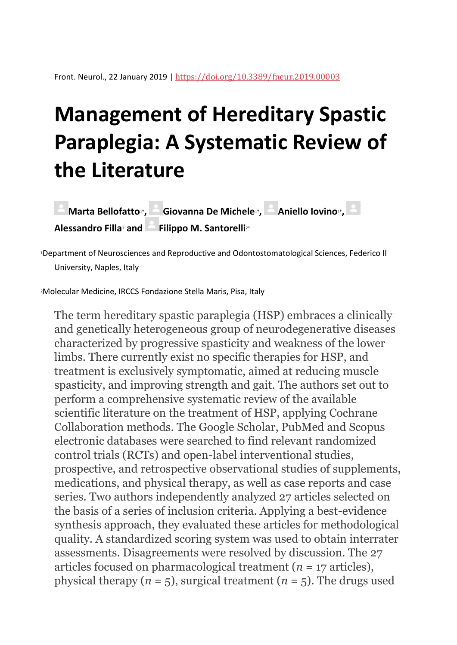# **Management of Hereditary Spastic Paraplegia: A Systematic Review of the Literature**

**[Marta Bellofatto](http://www.frontiersin.org/people/u/641151)**<sup>1</sup></sub>, [Giovanna De Michele](http://www.frontiersin.org/people/u/545631)<sup>11</sup>,Aniello Iovino<sup>11</sup>, **[Alessandro Filla](http://www.frontiersin.org/people/u/602351)**<sup>1</sup> **and [Filippo M. Santorelli](http://www.frontiersin.org/people/u/181238)**2\*

<sup>1</sup>Department of Neurosciences and Reproductive and Odontostomatological Sciences, Federico II University, Naples, Italy

<sup>2</sup>Molecular Medicine, IRCCS Fondazione Stella Maris, Pisa, Italy

The term hereditary spastic paraplegia (HSP) embraces a clinically and genetically heterogeneous group of neurodegenerative diseases characterized by progressive spasticity and weakness of the lower limbs. There currently exist no specific therapies for HSP, and treatment is exclusively symptomatic, aimed at reducing muscle spasticity, and improving strength and gait. The authors set out to perform a comprehensive systematic review of the available scientific literature on the treatment of HSP, applying Cochrane Collaboration methods. The Google Scholar, PubMed and Scopus electronic databases were searched to find relevant randomized control trials (RCTs) and open-label interventional studies, prospective, and retrospective observational studies of supplements, medications, and physical therapy, as well as case reports and case series. Two authors independently analyzed 27 articles selected on the basis of a series of inclusion criteria. Applying a best-evidence synthesis approach, they evaluated these articles for methodological quality. A standardized scoring system was used to obtain interrater assessments. Disagreements were resolved by discussion. The 27 articles focused on pharmacological treatment (*n* = 17 articles), physical therapy  $(n = 5)$ , surgical treatment  $(n = 5)$ . The drugs used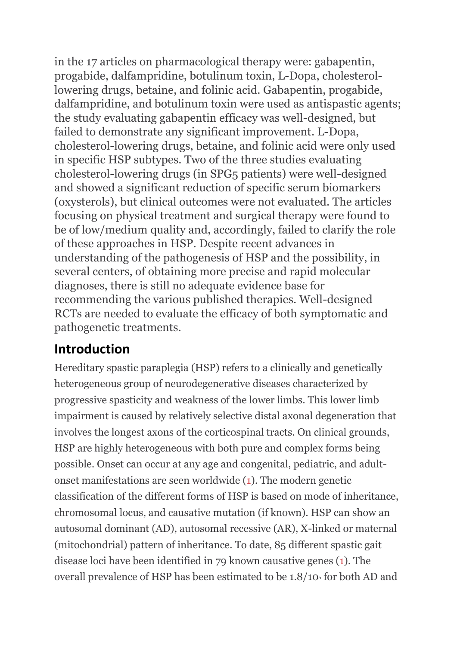in the 17 articles on pharmacological therapy were: gabapentin, progabide, dalfampridine, botulinum toxin, L-Dopa, cholesterollowering drugs, betaine, and folinic acid. Gabapentin, progabide, dalfampridine, and botulinum toxin were used as antispastic agents; the study evaluating gabapentin efficacy was well-designed, but failed to demonstrate any significant improvement. L-Dopa, cholesterol-lowering drugs, betaine, and folinic acid were only used in specific HSP subtypes. Two of the three studies evaluating cholesterol-lowering drugs (in SPG5 patients) were well-designed and showed a significant reduction of specific serum biomarkers (oxysterols), but clinical outcomes were not evaluated. The articles focusing on physical treatment and surgical therapy were found to be of low/medium quality and, accordingly, failed to clarify the role of these approaches in HSP. Despite recent advances in understanding of the pathogenesis of HSP and the possibility, in several centers, of obtaining more precise and rapid molecular diagnoses, there is still no adequate evidence base for recommending the various published therapies. Well-designed RCTs are needed to evaluate the efficacy of both symptomatic and pathogenetic treatments.

### **Introduction**

Hereditary spastic paraplegia (HSP) refers to a clinically and genetically heterogeneous group of neurodegenerative diseases characterized by progressive spasticity and weakness of the lower limbs. This lower limb impairment is caused by relatively selective distal axonal degeneration that involves the longest axons of the corticospinal tracts. On clinical grounds, HSP are highly heterogeneous with both pure and complex forms being possible. Onset can occur at any age and congenital, pediatric, and adultonset manifestations are seen worldwide [\(1\)](https://www.frontiersin.org/articles/10.3389/fneur.2019.00003/full#B1). The modern genetic classification of the different forms of HSP is based on mode of inheritance, chromosomal locus, and causative mutation (if known). HSP can show an autosomal dominant (AD), autosomal recessive (AR), X-linked or maternal (mitochondrial) pattern of inheritance. To date, 85 different spastic gait disease loci have been identified in 79 known causative genes [\(1\)](https://www.frontiersin.org/articles/10.3389/fneur.2019.00003/full#B1). The overall prevalence of HSP has been estimated to be 1.8/10<sup>5</sup> for both AD and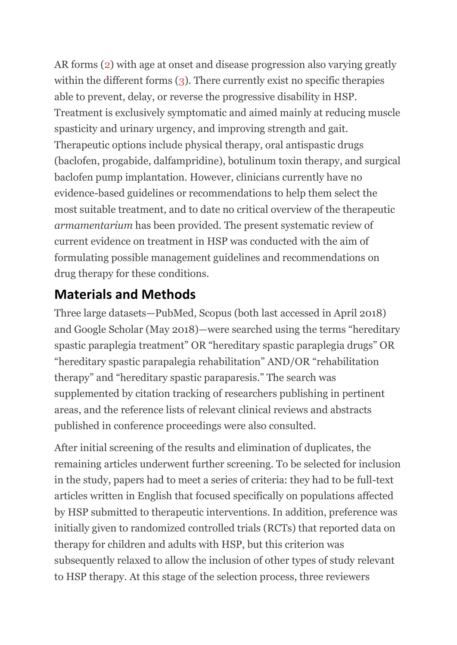AR forms [\(2\)](https://www.frontiersin.org/articles/10.3389/fneur.2019.00003/full#B2) with age at onset and disease progression also varying greatly within the different forms [\(3\)](https://www.frontiersin.org/articles/10.3389/fneur.2019.00003/full#B3). There currently exist no specific therapies able to prevent, delay, or reverse the progressive disability in HSP. Treatment is exclusively symptomatic and aimed mainly at reducing muscle spasticity and urinary urgency, and improving strength and gait. Therapeutic options include physical therapy, oral antispastic drugs (baclofen, progabide, dalfampridine), botulinum toxin therapy, and surgical baclofen pump implantation. However, clinicians currently have no evidence-based guidelines or recommendations to help them select the most suitable treatment, and to date no critical overview of the therapeutic *armamentarium* has been provided. The present systematic review of current evidence on treatment in HSP was conducted with the aim of formulating possible management guidelines and recommendations on drug therapy for these conditions.

### **Materials and Methods**

Three large datasets—PubMed, Scopus (both last accessed in April 2018) and Google Scholar (May 2018)—were searched using the terms "hereditary spastic paraplegia treatment" OR "hereditary spastic paraplegia drugs" OR "hereditary spastic parapalegia rehabilitation" AND/OR "rehabilitation therapy" and "hereditary spastic paraparesis." The search was supplemented by citation tracking of researchers publishing in pertinent areas, and the reference lists of relevant clinical reviews and abstracts published in conference proceedings were also consulted.

After initial screening of the results and elimination of duplicates, the remaining articles underwent further screening. To be selected for inclusion in the study, papers had to meet a series of criteria: they had to be full-text articles written in English that focused specifically on populations affected by HSP submitted to therapeutic interventions. In addition, preference was initially given to randomized controlled trials (RCTs) that reported data on therapy for children and adults with HSP, but this criterion was subsequently relaxed to allow the inclusion of other types of study relevant to HSP therapy. At this stage of the selection process, three reviewers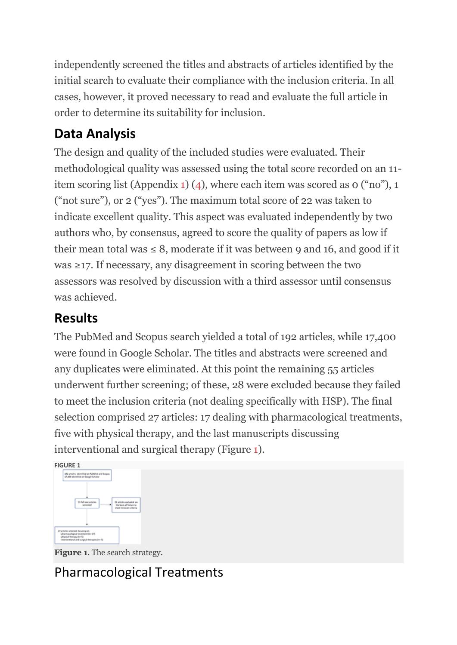independently screened the titles and abstracts of articles identified by the initial search to evaluate their compliance with the inclusion criteria. In all cases, however, it proved necessary to read and evaluate the full article in order to determine its suitability for inclusion.

# **Data Analysis**

The design and quality of the included studies were evaluated. Their methodological quality was assessed using the total score recorded on an 11 item scoring list (Appendix [1\)](https://www.frontiersin.org/articles/10.3389/fneur.2019.00003/full#SM1) [\(4](https://www.frontiersin.org/articles/10.3389/fneur.2019.00003/full#B4)), where each item was scored as 0 ("no"), 1 ("not sure"), or 2 ("yes"). The maximum total score of 22 was taken to indicate excellent quality. This aspect was evaluated independently by two authors who, by consensus, agreed to score the quality of papers as low if their mean total was  $\leq 8$ , moderate if it was between 9 and 16, and good if it was ≥17. If necessary, any disagreement in scoring between the two assessors was resolved by discussion with a third assessor until consensus was achieved.

## **Results**

The PubMed and Scopus search yielded a total of 192 articles, while 17,400 were found in Google Scholar. The titles and abstracts were screened and any duplicates were eliminated. At this point the remaining 55 articles underwent further screening; of these, 28 were excluded because they failed to meet the inclusion criteria (not dealing specifically with HSP). The final selection comprised 27 articles: 17 dealing with pharmacological treatments, five with physical therapy, and the last manuscripts discussing interventional and surgical therapy (Figure [1\)](https://www.frontiersin.org/articles/10.3389/fneur.2019.00003/full#F1).





**Figure 1**. The search strategy.

# Pharmacological Treatments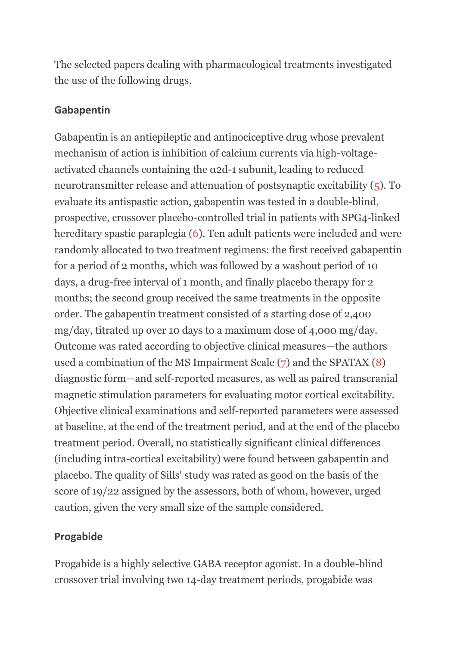The selected papers dealing with pharmacological treatments investigated the use of the following drugs.

#### **Gabapentin**

Gabapentin is an antiepileptic and antinociceptive drug whose prevalent mechanism of action is inhibition of calcium currents via high-voltageactivated channels containing the α2d-1 subunit, leading to reduced neurotransmitter release and attenuation of postsynaptic excitability [\(5\)](https://www.frontiersin.org/articles/10.3389/fneur.2019.00003/full#B5). To evaluate its antispastic action, gabapentin was tested in a double-blind, prospective, crossover placebo-controlled trial in patients with SPG4-linked hereditary spastic paraplegia [\(6\)](https://www.frontiersin.org/articles/10.3389/fneur.2019.00003/full#B6). Ten adult patients were included and were randomly allocated to two treatment regimens: the first received gabapentin for a period of 2 months, which was followed by a washout period of 10 days, a drug-free interval of 1 month, and finally placebo therapy for 2 months; the second group received the same treatments in the opposite order. The gabapentin treatment consisted of a starting dose of 2,400 mg/day, titrated up over 10 days to a maximum dose of 4,000 mg/day. Outcome was rated according to objective clinical measures—the authors used a combination of the MS Impairment Scale [\(7\)](https://www.frontiersin.org/articles/10.3389/fneur.2019.00003/full#B7) and the SPATAX [\(8\)](https://www.frontiersin.org/articles/10.3389/fneur.2019.00003/full#B8) diagnostic form—and self-reported measures, as well as paired transcranial magnetic stimulation parameters for evaluating motor cortical excitability. Objective clinical examinations and self-reported parameters were assessed at baseline, at the end of the treatment period, and at the end of the placebo treatment period. Overall, no statistically significant clinical differences (including intra-cortical excitability) were found between gabapentin and placebo. The quality of Sills' study was rated as good on the basis of the score of 19/22 assigned by the assessors, both of whom, however, urged caution, given the very small size of the sample considered.

### **Progabide**

Progabide is a highly selective GABA receptor agonist. In a double-blind crossover trial involving two 14-day treatment periods, progabide was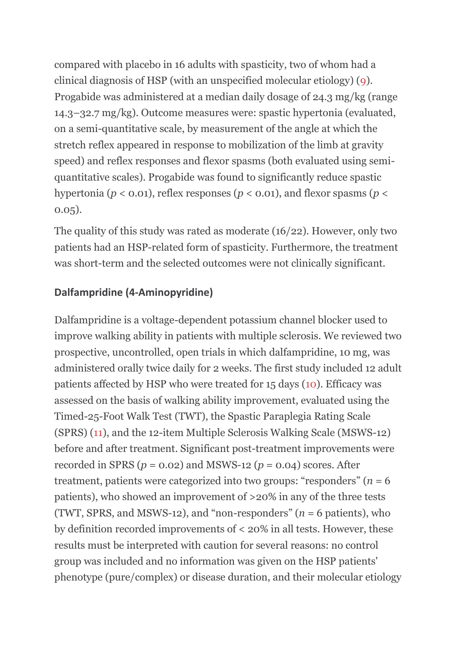compared with placebo in 16 adults with spasticity, two of whom had a clinical diagnosis of HSP (with an unspecified molecular etiology) [\(9\)](https://www.frontiersin.org/articles/10.3389/fneur.2019.00003/full#B9). Progabide was administered at a median daily dosage of 24.3 mg/kg (range 14.3–32.7 mg/kg). Outcome measures were: spastic hypertonia (evaluated, on a semi-quantitative scale, by measurement of the angle at which the stretch reflex appeared in response to mobilization of the limb at gravity speed) and reflex responses and flexor spasms (both evaluated using semiquantitative scales). Progabide was found to significantly reduce spastic hypertonia ( $p < 0.01$ ), reflex responses ( $p < 0.01$ ), and flexor spasms ( $p <$ 0.05).

The quality of this study was rated as moderate (16/22). However, only two patients had an HSP-related form of spasticity. Furthermore, the treatment was short-term and the selected outcomes were not clinically significant.

#### **Dalfampridine (4-Aminopyridine)**

Dalfampridine is a voltage-dependent potassium channel blocker used to improve walking ability in patients with multiple sclerosis. We reviewed two prospective, uncontrolled, open trials in which dalfampridine, 10 mg, was administered orally twice daily for 2 weeks. The first study included 12 adult patients affected by HSP who were treated for 15 days [\(10\)](https://www.frontiersin.org/articles/10.3389/fneur.2019.00003/full#B10). Efficacy was assessed on the basis of walking ability improvement, evaluated using the Timed-25-Foot Walk Test (TWT), the Spastic Paraplegia Rating Scale (SPRS) [\(11\)](https://www.frontiersin.org/articles/10.3389/fneur.2019.00003/full#B11), and the 12-item Multiple Sclerosis Walking Scale (MSWS-12) before and after treatment. Significant post-treatment improvements were recorded in SPRS ( $p = 0.02$ ) and MSWS-12 ( $p = 0.04$ ) scores. After treatment, patients were categorized into two groups: "responders" ( $n = 6$ ) patients), who showed an improvement of >20% in any of the three tests (TWT, SPRS, and MSWS-12), and "non-responders"  $(n = 6$  patients), who by definition recorded improvements of < 20% in all tests. However, these results must be interpreted with caution for several reasons: no control group was included and no information was given on the HSP patients' phenotype (pure/complex) or disease duration, and their molecular etiology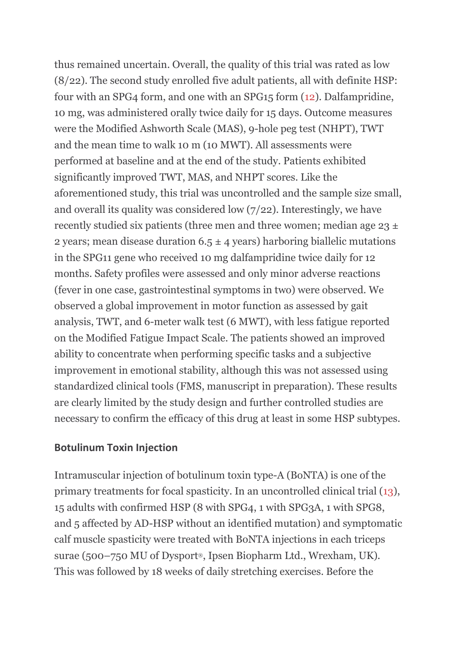thus remained uncertain. Overall, the quality of this trial was rated as low (8/22). The second study enrolled five adult patients, all with definite HSP: four with an SPG4 form, and one with an SPG15 form [\(12\)](https://www.frontiersin.org/articles/10.3389/fneur.2019.00003/full#B12). Dalfampridine, 10 mg, was administered orally twice daily for 15 days. Outcome measures were the Modified Ashworth Scale (MAS), 9-hole peg test (NHPT), TWT and the mean time to walk 10 m (10 MWT). All assessments were performed at baseline and at the end of the study. Patients exhibited significantly improved TWT, MAS, and NHPT scores. Like the aforementioned study, this trial was uncontrolled and the sample size small, and overall its quality was considered low (7/22). Interestingly, we have recently studied six patients (three men and three women; median age  $23 \pm$ 2 years; mean disease duration  $6.5 \pm 4$  years) harboring biallelic mutations in the SPG11 gene who received 10 mg dalfampridine twice daily for 12 months. Safety profiles were assessed and only minor adverse reactions (fever in one case, gastrointestinal symptoms in two) were observed. We observed a global improvement in motor function as assessed by gait analysis, TWT, and 6-meter walk test (6 MWT), with less fatigue reported on the Modified Fatigue Impact Scale. The patients showed an improved ability to concentrate when performing specific tasks and a subjective improvement in emotional stability, although this was not assessed using standardized clinical tools (FMS, manuscript in preparation). These results are clearly limited by the study design and further controlled studies are necessary to confirm the efficacy of this drug at least in some HSP subtypes.

#### **Botulinum Toxin Injection**

Intramuscular injection of botulinum toxin type-A (BoNTA) is one of the primary treatments for focal spasticity. In an uncontrolled clinical trial [\(13\)](https://www.frontiersin.org/articles/10.3389/fneur.2019.00003/full#B13), 15 adults with confirmed HSP (8 with SPG4, 1 with SPG3A, 1 with SPG8, and 5 affected by AD-HSP without an identified mutation) and symptomatic calf muscle spasticity were treated with BoNTA injections in each triceps surae (500–750 MU of Dysport®, Ipsen Biopharm Ltd., Wrexham, UK). This was followed by 18 weeks of daily stretching exercises. Before the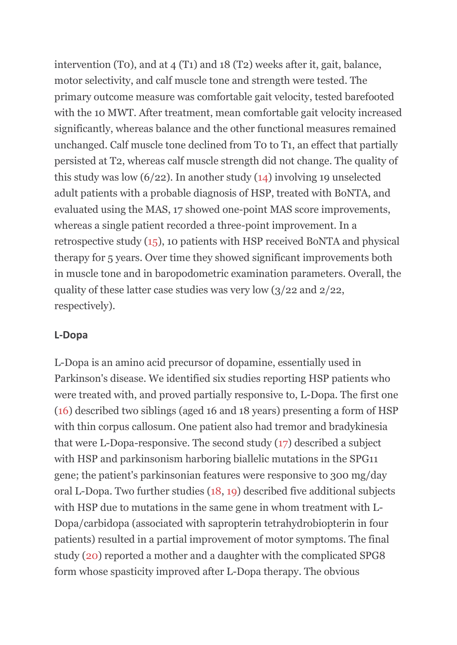intervention (T0), and at 4 (T1) and 18 (T2) weeks after it, gait, balance, motor selectivity, and calf muscle tone and strength were tested. The primary outcome measure was comfortable gait velocity, tested barefooted with the 10 MWT. After treatment, mean comfortable gait velocity increased significantly, whereas balance and the other functional measures remained unchanged. Calf muscle tone declined from T0 to T1, an effect that partially persisted at T2, whereas calf muscle strength did not change. The quality of this study was low  $(6/22)$ . In another study  $(14)$  involving 19 unselected adult patients with a probable diagnosis of HSP, treated with BoNTA, and evaluated using the MAS, 17 showed one-point MAS score improvements, whereas a single patient recorded a three-point improvement. In a retrospective study [\(15\)](https://www.frontiersin.org/articles/10.3389/fneur.2019.00003/full#B15), 10 patients with HSP received BoNTA and physical therapy for 5 years. Over time they showed significant improvements both in muscle tone and in baropodometric examination parameters. Overall, the quality of these latter case studies was very low (3/22 and 2/22, respectively).

#### **L-Dopa**

L-Dopa is an amino acid precursor of dopamine, essentially used in Parkinson's disease. We identified six studies reporting HSP patients who were treated with, and proved partially responsive to, L-Dopa. The first one [\(16\)](https://www.frontiersin.org/articles/10.3389/fneur.2019.00003/full#B16) described two siblings (aged 16 and 18 years) presenting a form of HSP with thin corpus callosum. One patient also had tremor and bradykinesia that were L-Dopa-responsive. The second study [\(17\)](https://www.frontiersin.org/articles/10.3389/fneur.2019.00003/full#B17) described a subject with HSP and parkinsonism harboring biallelic mutations in the SPG11 gene; the patient's parkinsonian features were responsive to 300 mg/day oral L-Dopa. Two further studies [\(18,](https://www.frontiersin.org/articles/10.3389/fneur.2019.00003/full#B18) [19\)](https://www.frontiersin.org/articles/10.3389/fneur.2019.00003/full#B19) described five additional subjects with HSP due to mutations in the same gene in whom treatment with L-Dopa/carbidopa (associated with sapropterin tetrahydrobiopterin in four patients) resulted in a partial improvement of motor symptoms. The final study [\(20\)](https://www.frontiersin.org/articles/10.3389/fneur.2019.00003/full#B20) reported a mother and a daughter with the complicated SPG8 form whose spasticity improved after L-Dopa therapy. The obvious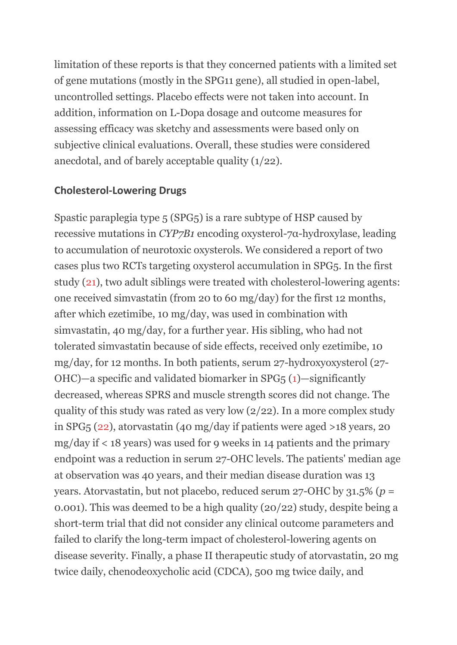limitation of these reports is that they concerned patients with a limited set of gene mutations (mostly in the SPG11 gene), all studied in open-label, uncontrolled settings. Placebo effects were not taken into account. In addition, information on L-Dopa dosage and outcome measures for assessing efficacy was sketchy and assessments were based only on subjective clinical evaluations. Overall, these studies were considered anecdotal, and of barely acceptable quality (1/22).

#### **Cholesterol-Lowering Drugs**

Spastic paraplegia type 5 (SPG5) is a rare subtype of HSP caused by recessive mutations in *CYP7B1* encoding oxysterol-7α-hydroxylase, leading to accumulation of neurotoxic oxysterols. We considered a report of two cases plus two RCTs targeting oxysterol accumulation in SPG5. In the first study [\(21\)](https://www.frontiersin.org/articles/10.3389/fneur.2019.00003/full#B21), two adult siblings were treated with cholesterol-lowering agents: one received simvastatin (from 20 to 60 mg/day) for the first 12 months, after which ezetimibe, 10 mg/day, was used in combination with simvastatin, 40 mg/day, for a further year. His sibling, who had not tolerated simvastatin because of side effects, received only ezetimibe, 10 mg/day, for 12 months. In both patients, serum 27-hydroxyoxysterol (27- OHC)—a specific and validated biomarker in SPG5 [\(1\)](https://www.frontiersin.org/articles/10.3389/fneur.2019.00003/full#B1)—significantly decreased, whereas SPRS and muscle strength scores did not change. The quality of this study was rated as very low  $\left(\frac{2}{2}\right)$ . In a more complex study in SPG5 [\(22\)](https://www.frontiersin.org/articles/10.3389/fneur.2019.00003/full#B22), atorvastatin (40 mg/day if patients were aged >18 years, 20 mg/day if < 18 years) was used for 9 weeks in 14 patients and the primary endpoint was a reduction in serum 27-OHC levels. The patients' median age at observation was 40 years, and their median disease duration was 13 years. Atorvastatin, but not placebo, reduced serum 27-OHC by 31.5% (*p* = 0.001). This was deemed to be a high quality (20/22) study, despite being a short-term trial that did not consider any clinical outcome parameters and failed to clarify the long-term impact of cholesterol-lowering agents on disease severity. Finally, a phase II therapeutic study of atorvastatin, 20 mg twice daily, chenodeoxycholic acid (CDCA), 500 mg twice daily, and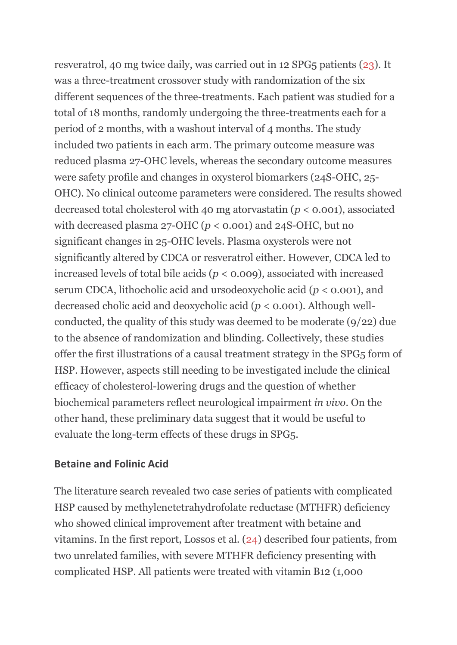resveratrol, 40 mg twice daily, was carried out in 12 SPG5 patients [\(23\)](https://www.frontiersin.org/articles/10.3389/fneur.2019.00003/full#B23). It was a three-treatment crossover study with randomization of the six different sequences of the three-treatments. Each patient was studied for a total of 18 months, randomly undergoing the three-treatments each for a period of 2 months, with a washout interval of 4 months. The study included two patients in each arm. The primary outcome measure was reduced plasma 27-OHC levels, whereas the secondary outcome measures were safety profile and changes in oxysterol biomarkers (24S-OHC, 25- OHC). No clinical outcome parameters were considered. The results showed decreased total cholesterol with 40 mg atorvastatin (*p* < 0.001), associated with decreased plasma 27-OHC ( $p < 0.001$ ) and 24S-OHC, but no significant changes in 25-OHC levels. Plasma oxysterols were not significantly altered by CDCA or resveratrol either. However, CDCA led to increased levels of total bile acids (*p* < 0.009), associated with increased serum CDCA, lithocholic acid and ursodeoxycholic acid (*p* < 0.001), and decreased cholic acid and deoxycholic acid (*p* < 0.001). Although wellconducted, the quality of this study was deemed to be moderate (9/22) due to the absence of randomization and blinding. Collectively, these studies offer the first illustrations of a causal treatment strategy in the SPG5 form of HSP. However, aspects still needing to be investigated include the clinical efficacy of cholesterol-lowering drugs and the question of whether biochemical parameters reflect neurological impairment *in vivo*. On the other hand, these preliminary data suggest that it would be useful to evaluate the long-term effects of these drugs in SPG5.

#### **Betaine and Folinic Acid**

The literature search revealed two case series of patients with complicated HSP caused by methylenetetrahydrofolate reductase (MTHFR) deficiency who showed clinical improvement after treatment with betaine and vitamins. In the first report, Lossos et al. [\(24\)](https://www.frontiersin.org/articles/10.3389/fneur.2019.00003/full#B24) described four patients, from two unrelated families, with severe MTHFR deficiency presenting with complicated HSP. All patients were treated with vitamin B12 (1,000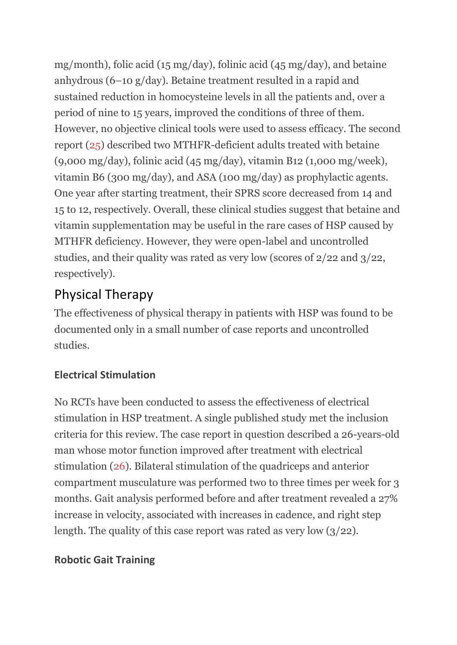mg/month), folic acid (15 mg/day), folinic acid (45 mg/day), and betaine anhydrous (6–10 g/day). Betaine treatment resulted in a rapid and sustained reduction in homocysteine levels in all the patients and, over a period of nine to 15 years, improved the conditions of three of them. However, no objective clinical tools were used to assess efficacy. The second report [\(25\)](https://www.frontiersin.org/articles/10.3389/fneur.2019.00003/full#B25) described two MTHFR-deficient adults treated with betaine (9,000 mg/day), folinic acid (45 mg/day), vitamin B12 (1,000 mg/week), vitamin B6 (300 mg/day), and ASA (100 mg/day) as prophylactic agents. One year after starting treatment, their SPRS score decreased from 14 and 15 to 12, respectively. Overall, these clinical studies suggest that betaine and vitamin supplementation may be useful in the rare cases of HSP caused by MTHFR deficiency. However, they were open-label and uncontrolled studies, and their quality was rated as very low (scores of 2/22 and 3/22, respectively).

### Physical Therapy

The effectiveness of physical therapy in patients with HSP was found to be documented only in a small number of case reports and uncontrolled studies.

### **Electrical Stimulation**

No RCTs have been conducted to assess the effectiveness of electrical stimulation in HSP treatment. A single published study met the inclusion criteria for this review. The case report in question described a 26-years-old man whose motor function improved after treatment with electrical stimulation [\(26\)](https://www.frontiersin.org/articles/10.3389/fneur.2019.00003/full#B26). Bilateral stimulation of the quadriceps and anterior compartment musculature was performed two to three times per week for 3 months. Gait analysis performed before and after treatment revealed a 27% increase in velocity, associated with increases in cadence, and right step length. The quality of this case report was rated as very low (3/22).

### **Robotic Gait Training**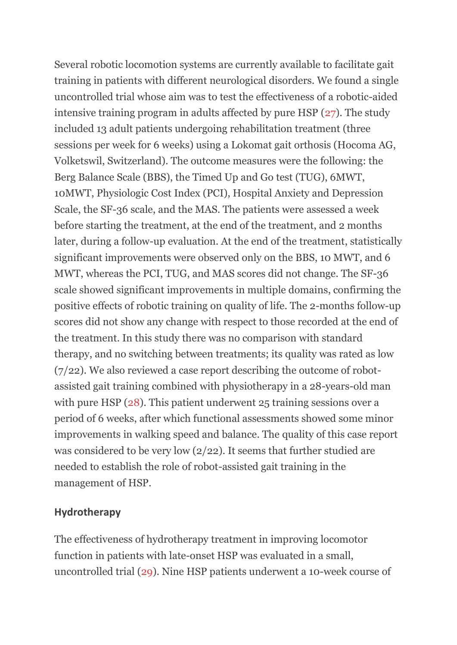Several robotic locomotion systems are currently available to facilitate gait training in patients with different neurological disorders. We found a single uncontrolled trial whose aim was to test the effectiveness of a robotic-aided intensive training program in adults affected by pure HSP [\(27\)](https://www.frontiersin.org/articles/10.3389/fneur.2019.00003/full#B27). The study included 13 adult patients undergoing rehabilitation treatment (three sessions per week for 6 weeks) using a Lokomat gait orthosis (Hocoma AG, Volketswil, Switzerland). The outcome measures were the following: the Berg Balance Scale (BBS), the Timed Up and Go test (TUG), 6MWT, 10MWT, Physiologic Cost Index (PCI), Hospital Anxiety and Depression Scale, the SF-36 scale, and the MAS. The patients were assessed a week before starting the treatment, at the end of the treatment, and 2 months later, during a follow-up evaluation. At the end of the treatment, statistically significant improvements were observed only on the BBS, 10 MWT, and 6 MWT, whereas the PCI, TUG, and MAS scores did not change. The SF-36 scale showed significant improvements in multiple domains, confirming the positive effects of robotic training on quality of life. The 2-months follow-up scores did not show any change with respect to those recorded at the end of the treatment. In this study there was no comparison with standard therapy, and no switching between treatments; its quality was rated as low (7/22). We also reviewed a case report describing the outcome of robotassisted gait training combined with physiotherapy in a 28-years-old man with pure HSP [\(28\)](https://www.frontiersin.org/articles/10.3389/fneur.2019.00003/full#B28). This patient underwent 25 training sessions over a period of 6 weeks, after which functional assessments showed some minor improvements in walking speed and balance. The quality of this case report was considered to be very low (2/22). It seems that further studied are needed to establish the role of robot-assisted gait training in the management of HSP.

#### **Hydrotherapy**

The effectiveness of hydrotherapy treatment in improving locomotor function in patients with late-onset HSP was evaluated in a small, uncontrolled trial [\(29\)](https://www.frontiersin.org/articles/10.3389/fneur.2019.00003/full#B29). Nine HSP patients underwent a 10-week course of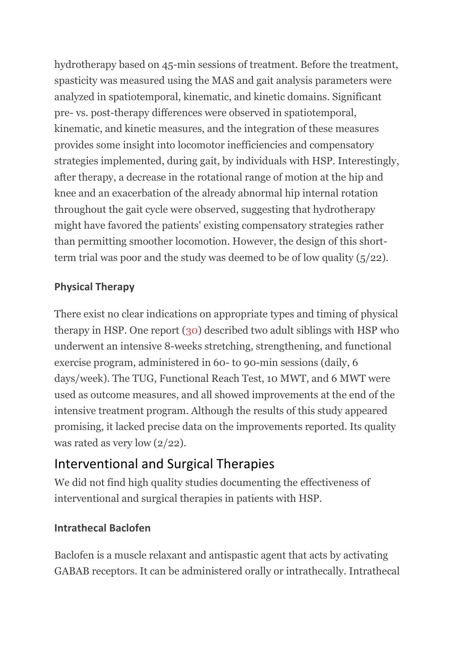hydrotherapy based on 45-min sessions of treatment. Before the treatment, spasticity was measured using the MAS and gait analysis parameters were analyzed in spatiotemporal, kinematic, and kinetic domains. Significant pre- vs. post-therapy differences were observed in spatiotemporal, kinematic, and kinetic measures, and the integration of these measures provides some insight into locomotor inefficiencies and compensatory strategies implemented, during gait, by individuals with HSP. Interestingly, after therapy, a decrease in the rotational range of motion at the hip and knee and an exacerbation of the already abnormal hip internal rotation throughout the gait cycle were observed, suggesting that hydrotherapy might have favored the patients' existing compensatory strategies rather than permitting smoother locomotion. However, the design of this shortterm trial was poor and the study was deemed to be of low quality (5/22).

#### **Physical Therapy**

There exist no clear indications on appropriate types and timing of physical therapy in HSP. One report [\(30\)](https://www.frontiersin.org/articles/10.3389/fneur.2019.00003/full#B30) described two adult siblings with HSP who underwent an intensive 8-weeks stretching, strengthening, and functional exercise program, administered in 60- to 90-min sessions (daily, 6 days/week). The TUG, Functional Reach Test, 10 MWT, and 6 MWT were used as outcome measures, and all showed improvements at the end of the intensive treatment program. Although the results of this study appeared promising, it lacked precise data on the improvements reported. Its quality was rated as very low (2/22).

### Interventional and Surgical Therapies

We did not find high quality studies documenting the effectiveness of interventional and surgical therapies in patients with HSP.

### **Intrathecal Baclofen**

Baclofen is a muscle relaxant and antispastic agent that acts by activating GABAB receptors. It can be administered orally or intrathecally. Intrathecal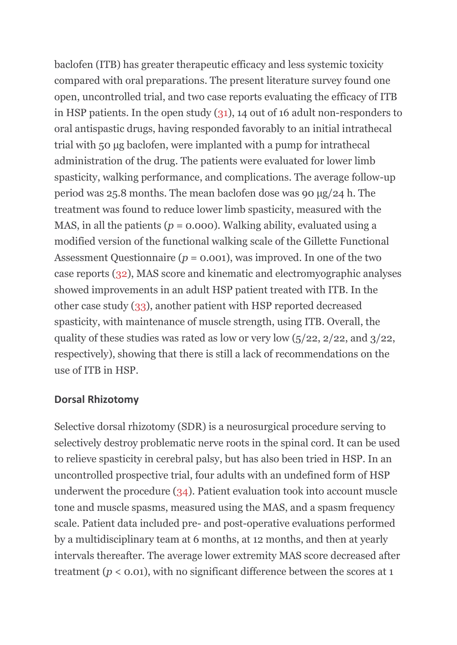baclofen (ITB) has greater therapeutic efficacy and less systemic toxicity compared with oral preparations. The present literature survey found one open, uncontrolled trial, and two case reports evaluating the efficacy of ITB in HSP patients. In the open study [\(31\)](https://www.frontiersin.org/articles/10.3389/fneur.2019.00003/full#B31), 14 out of 16 adult non-responders to oral antispastic drugs, having responded favorably to an initial intrathecal trial with 50 μg baclofen, were implanted with a pump for intrathecal administration of the drug. The patients were evaluated for lower limb spasticity, walking performance, and complications. The average follow-up period was 25.8 months. The mean baclofen dose was 90 μg/24 h. The treatment was found to reduce lower limb spasticity, measured with the MAS, in all the patients ( $p = 0.000$ ). Walking ability, evaluated using a modified version of the functional walking scale of the Gillette Functional Assessment Questionnaire ( $p = 0.001$ ), was improved. In one of the two case reports [\(32\)](https://www.frontiersin.org/articles/10.3389/fneur.2019.00003/full#B32), MAS score and kinematic and electromyographic analyses showed improvements in an adult HSP patient treated with ITB. In the other case study [\(33\)](https://www.frontiersin.org/articles/10.3389/fneur.2019.00003/full#B33), another patient with HSP reported decreased spasticity, with maintenance of muscle strength, using ITB. Overall, the quality of these studies was rated as low or very low  $(5/22, 2/22, 3/22, 1/2)$ respectively), showing that there is still a lack of recommendations on the use of ITB in HSP.

#### **Dorsal Rhizotomy**

Selective dorsal rhizotomy (SDR) is a neurosurgical procedure serving to selectively destroy problematic nerve roots in the spinal cord. It can be used to relieve spasticity in cerebral palsy, but has also been tried in HSP. In an uncontrolled prospective trial, four adults with an undefined form of HSP underwent the procedure [\(34\)](https://www.frontiersin.org/articles/10.3389/fneur.2019.00003/full#B34). Patient evaluation took into account muscle tone and muscle spasms, measured using the MAS, and a spasm frequency scale. Patient data included pre- and post-operative evaluations performed by a multidisciplinary team at 6 months, at 12 months, and then at yearly intervals thereafter. The average lower extremity MAS score decreased after treatment ( $p < 0.01$ ), with no significant difference between the scores at 1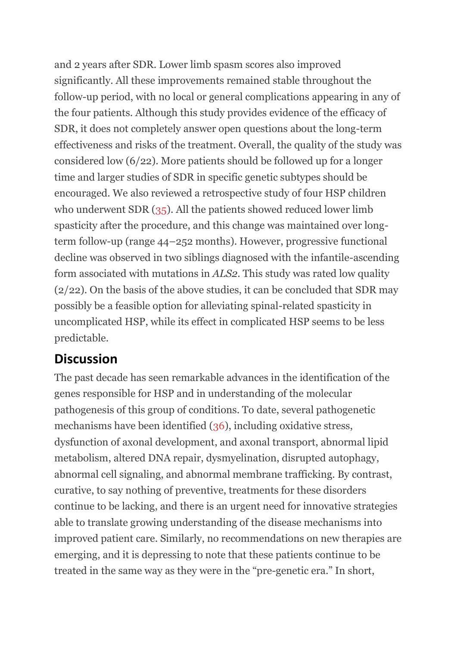and 2 years after SDR. Lower limb spasm scores also improved significantly. All these improvements remained stable throughout the follow-up period, with no local or general complications appearing in any of the four patients. Although this study provides evidence of the efficacy of SDR, it does not completely answer open questions about the long-term effectiveness and risks of the treatment. Overall, the quality of the study was considered low (6/22). More patients should be followed up for a longer time and larger studies of SDR in specific genetic subtypes should be encouraged. We also reviewed a retrospective study of four HSP children who underwent SDR [\(35\)](https://www.frontiersin.org/articles/10.3389/fneur.2019.00003/full#B35). All the patients showed reduced lower limb spasticity after the procedure, and this change was maintained over longterm follow-up (range 44–252 months). However, progressive functional decline was observed in two siblings diagnosed with the infantile-ascending form associated with mutations in *ALS2*. This study was rated low quality (2/22). On the basis of the above studies, it can be concluded that SDR may possibly be a feasible option for alleviating spinal-related spasticity in uncomplicated HSP, while its effect in complicated HSP seems to be less predictable.

### **Discussion**

The past decade has seen remarkable advances in the identification of the genes responsible for HSP and in understanding of the molecular pathogenesis of this group of conditions. To date, several pathogenetic mechanisms have been identified [\(36\)](https://www.frontiersin.org/articles/10.3389/fneur.2019.00003/full#B36), including oxidative stress, dysfunction of axonal development, and axonal transport, abnormal lipid metabolism, altered DNA repair, dysmyelination, disrupted autophagy, abnormal cell signaling, and abnormal membrane trafficking. By contrast, curative, to say nothing of preventive, treatments for these disorders continue to be lacking, and there is an urgent need for innovative strategies able to translate growing understanding of the disease mechanisms into improved patient care. Similarly, no recommendations on new therapies are emerging, and it is depressing to note that these patients continue to be treated in the same way as they were in the "pre-genetic era." In short,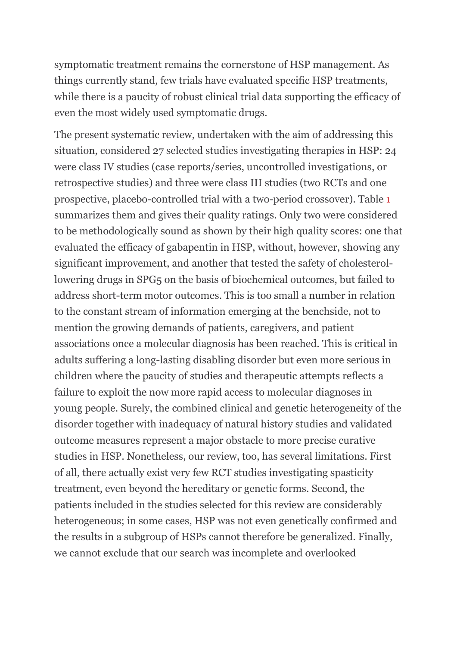symptomatic treatment remains the cornerstone of HSP management. As things currently stand, few trials have evaluated specific HSP treatments, while there is a paucity of robust clinical trial data supporting the efficacy of even the most widely used symptomatic drugs.

The present systematic review, undertaken with the aim of addressing this situation, considered 27 selected studies investigating therapies in HSP: 24 were class IV studies (case reports/series, uncontrolled investigations, or retrospective studies) and three were class III studies (two RCTs and one prospective, placebo-controlled trial with a two-period crossover). Table [1](https://www.frontiersin.org/articles/10.3389/fneur.2019.00003/full#T1) summarizes them and gives their quality ratings. Only two were considered to be methodologically sound as shown by their high quality scores: one that evaluated the efficacy of gabapentin in HSP, without, however, showing any significant improvement, and another that tested the safety of cholesterollowering drugs in SPG5 on the basis of biochemical outcomes, but failed to address short-term motor outcomes. This is too small a number in relation to the constant stream of information emerging at the benchside, not to mention the growing demands of patients, caregivers, and patient associations once a molecular diagnosis has been reached. This is critical in adults suffering a long-lasting disabling disorder but even more serious in children where the paucity of studies and therapeutic attempts reflects a failure to exploit the now more rapid access to molecular diagnoses in young people. Surely, the combined clinical and genetic heterogeneity of the disorder together with inadequacy of natural history studies and validated outcome measures represent a major obstacle to more precise curative studies in HSP. Nonetheless, our review, too, has several limitations. First of all, there actually exist very few RCT studies investigating spasticity treatment, even beyond the hereditary or genetic forms. Second, the patients included in the studies selected for this review are considerably heterogeneous; in some cases, HSP was not even genetically confirmed and the results in a subgroup of HSPs cannot therefore be generalized. Finally, we cannot exclude that our search was incomplete and overlooked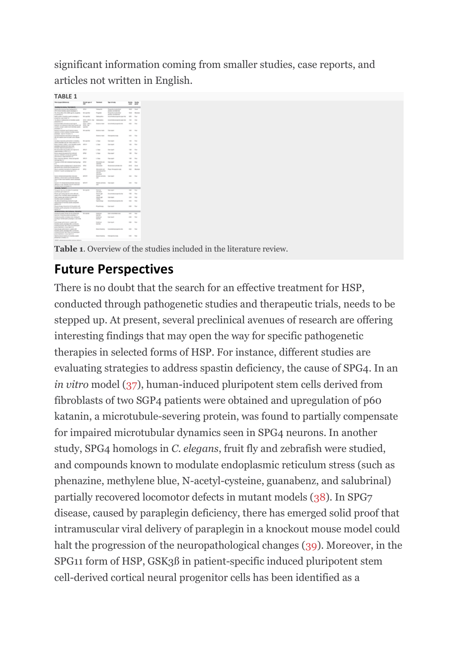significant information coming from smaller studies, case reports, and articles not written in English.

**[TABLE 1](https://www.frontiersin.org/files/Articles/436106/fneur-10-00003-HTML/image_m/fneur-10-00003-t001.jpg)**

**Table 1**. Overview of the studies included in the literature review.

### **Future Perspectives**

There is no doubt that the search for an effective treatment for HSP, conducted through pathogenetic studies and therapeutic trials, needs to be stepped up. At present, several preclinical avenues of research are offering interesting findings that may open the way for specific pathogenetic therapies in selected forms of HSP. For instance, different studies are evaluating strategies to address spastin deficiency, the cause of SPG4. In an *in vitro* model [\(37\)](https://www.frontiersin.org/articles/10.3389/fneur.2019.00003/full#B37), human-induced pluripotent stem cells derived from fibroblasts of two SGP4 patients were obtained and upregulation of p60 katanin, a microtubule-severing protein, was found to partially compensate for impaired microtubular dynamics seen in SPG4 neurons. In another study, SPG4 homologs in *C. elegans*, fruit fly and zebrafish were studied, and compounds known to modulate endoplasmic reticulum stress (such as phenazine, methylene blue, N-acetyl-cysteine, guanabenz, and salubrinal) partially recovered locomotor defects in mutant models [\(38\)](https://www.frontiersin.org/articles/10.3389/fneur.2019.00003/full#B38). In SPG7 disease, caused by paraplegin deficiency, there has emerged solid proof that intramuscular viral delivery of paraplegin in a knockout mouse model could halt the progression of the neuropathological changes [\(39\)](https://www.frontiersin.org/articles/10.3389/fneur.2019.00003/full#B39). Moreover, in the SPG11 form of HSP, GSK3ß in patient-specific induced pluripotent stem cell-derived cortical neural progenitor cells has been identified as a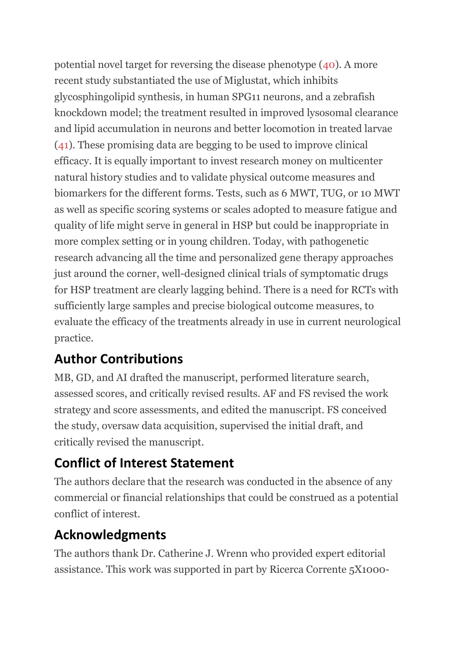potential novel target for reversing the disease phenotype [\(40\)](https://www.frontiersin.org/articles/10.3389/fneur.2019.00003/full#B40). A more recent study substantiated the use of Miglustat, which inhibits glycosphingolipid synthesis, in human SPG11 neurons, and a zebrafish knockdown model; the treatment resulted in improved lysosomal clearance and lipid accumulation in neurons and better locomotion in treated larvae [\(41\)](https://www.frontiersin.org/articles/10.3389/fneur.2019.00003/full#B41). These promising data are begging to be used to improve clinical efficacy. It is equally important to invest research money on multicenter natural history studies and to validate physical outcome measures and biomarkers for the different forms. Tests, such as 6 MWT, TUG, or 10 MWT as well as specific scoring systems or scales adopted to measure fatigue and quality of life might serve in general in HSP but could be inappropriate in more complex setting or in young children. Today, with pathogenetic research advancing all the time and personalized gene therapy approaches just around the corner, well-designed clinical trials of symptomatic drugs for HSP treatment are clearly lagging behind. There is a need for RCTs with sufficiently large samples and precise biological outcome measures, to evaluate the efficacy of the treatments already in use in current neurological practice.

## **Author Contributions**

MB, GD, and AI drafted the manuscript, performed literature search, assessed scores, and critically revised results. AF and FS revised the work strategy and score assessments, and edited the manuscript. FS conceived the study, oversaw data acquisition, supervised the initial draft, and critically revised the manuscript.

### **Conflict of Interest Statement**

The authors declare that the research was conducted in the absence of any commercial or financial relationships that could be construed as a potential conflict of interest.

### **Acknowledgments**

The authors thank Dr. Catherine J. Wrenn who provided expert editorial assistance. This work was supported in part by Ricerca Corrente 5X1000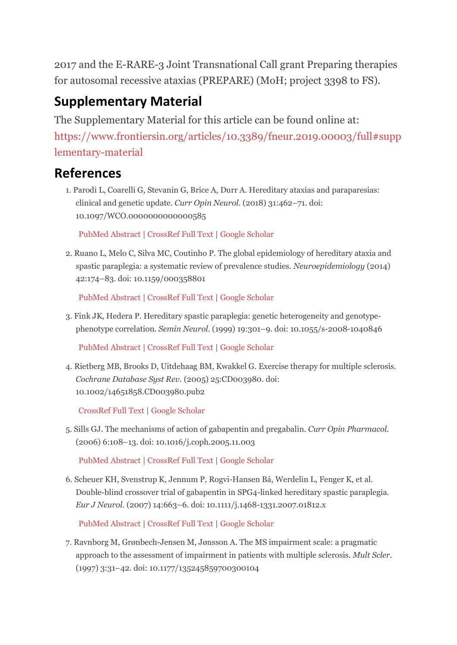2017 and the E-RARE-3 Joint Transnational Call grant Preparing therapies for autosomal recessive ataxias (PREPARE) (MoH; project 3398 to FS).

## **Supplementary Material**

The Supplementary Material for this article can be found online at: [https://www.frontiersin.org/articles/10.3389/fneur.2019.00003/full#supp](https://www.frontiersin.org/articles/10.3389/fneur.2019.00003/full#supplementary-material) [lementary-material](https://www.frontiersin.org/articles/10.3389/fneur.2019.00003/full#supplementary-material)

### **References**

1. Parodi L, Coarelli G, Stevanin G, Brice A, Durr A. Hereditary ataxias and paraparesias: clinical and genetic update. *Curr Opin Neurol*. (2018) 31:462–71. doi: 10.1097/WCO.0000000000000585

[PubMed Abstract](http://www.ncbi.nlm.nih.gov/sites/entrez?Db=pubmed&Cmd=ShowDetailView&TermToSearch=29847346) | [CrossRef Full Text](https://doi.org/10.1097/WCO.0000000000000585) [| Google Scholar](http://scholar.google.com/scholar_lookup?author=L.+Parodi&author=G.+Coarelli&author=G.+Stevanin&author=A.+Brice&author=A.+Durr+&publication_year=2018&title=Hereditary+ataxias+and+paraparesias%3A+clinical+and+genetic+update&journal=Curr+Opin+Neurol&volume=31&pages=462-71)

2. Ruano L, Melo C, Silva MC, Coutinho P. The global epidemiology of hereditary ataxia and spastic paraplegia: a systematic review of prevalence studies. *Neuroepidemiology* (2014) 42:174–83. doi: 10.1159/000358801

```
PubMed Abstract | CrossRef Full Text | Google Scholar
```
3. Fink JK, Hedera P. Hereditary spastic paraplegia: genetic heterogeneity and genotypephenotype correlation. *Semin Neurol*. (1999) 19:301–9. doi: 10.1055/s-2008-1040846

[PubMed Abstract](http://www.ncbi.nlm.nih.gov/sites/entrez?Db=pubmed&Cmd=ShowDetailView&TermToSearch=12194386) | [CrossRef Full Text](https://doi.org/10.1055/s-2008-1040846) [| Google Scholar](http://scholar.google.com/scholar_lookup?author=JK.+Fink&author=P.+Hedera+&publication_year=1999&title=Hereditary+spastic+paraplegia%3A+genetic+heterogeneity+and+genotype-phenotype+correlation&journal=Semin+Neurol&volume=19&pages=301-9)

4. Rietberg MB, Brooks D, Uitdehaag BM, Kwakkel G. Exercise therapy for multiple sclerosis. *Cochrane Database Syst Rev.* (2005) 25:CD003980. doi: 10.1002/14651858.CD003980.pub2

[CrossRef Full Text](https://doi.org/10.1002/14651858.CD003980.pub2) | [Google Scholar](http://scholar.google.com/scholar_lookup?author=MB.+Rietberg&author=D.+Brooks&author=BM.+Uitdehaag&author=G.+Kwakkel+&publication_year=2005&title=Exercise+therapy+for+multiple+sclerosis&journal=Cochrane+Database+Syst+Rev.&volume=25&pages=CD003980)

5. Sills GJ. The mechanisms of action of gabapentin and pregabalin. *Curr Opin Pharmacol*. (2006) 6:108–13. doi: 10.1016/j.coph.2005.11.003

[PubMed Abstract](http://www.ncbi.nlm.nih.gov/sites/entrez?Db=pubmed&Cmd=ShowDetailView&TermToSearch=16376147) | [CrossRef Full Text](https://doi.org/10.1016/j.coph.2005.11.003) [| Google Scholar](http://scholar.google.com/scholar_lookup?author=GJ.+Sills+&publication_year=2006&title=The+mechanisms+of+action+of+gabapentin+and+pregabalin&journal=Curr+Opin+Pharmacol&volume=6&pages=108-13)

6. Scheuer KH, Svenstrup K, Jennum P, Rogvi-Hansen Bá, Werdelin L, Fenger K, et al. Double-blind crossover trial of gabapentin in SPG4-linked hereditary spastic paraplegia. *Eur J Neurol*. (2007) 14:663–6. doi: 10.1111/j.1468-1331.2007.01812.x

[PubMed Abstract](http://www.ncbi.nlm.nih.gov/sites/entrez?Db=pubmed&Cmd=ShowDetailView&TermToSearch=17539946) | [CrossRef Full Text](https://doi.org/10.1111/j.1468-1331.2007.01812.x) [| Google Scholar](http://scholar.google.com/scholar_lookup?author=KH.+Scheuer&author=K.+Svenstrup&author=P.+Jennum&author=Bá.+Rogvi-Hansen&author=L.+Werdelin&author=K.+Fenger+&publication_year=2007&title=Double-blind+crossover+trial+of+gabapentin+in+SPG4-linked+hereditary+spastic+paraplegia&journal=Eur+J+Neurol&volume=14&pages=663-6)

7. Ravnborg M, Grønbech-Jensen M, Jønsson A. The MS impairment scale: a pragmatic approach to the assessment of impairment in patients with multiple sclerosis. *Mult Scler*. (1997) 3:31–42. doi: 10.1177/135245859700300104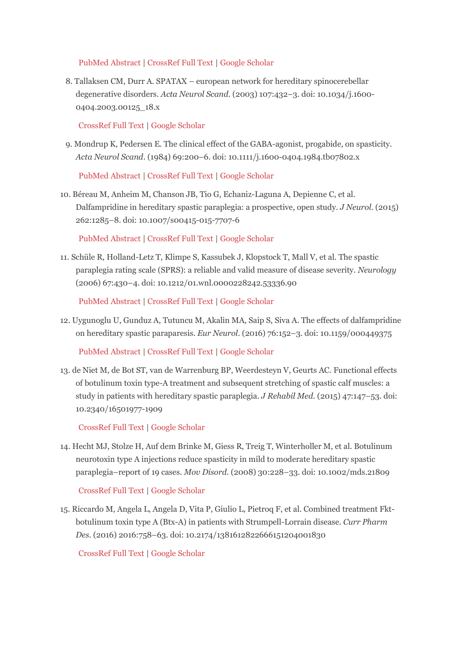#### [PubMed Abstract](http://www.ncbi.nlm.nih.gov/sites/entrez?Db=pubmed&Cmd=ShowDetailView&TermToSearch=9160344) | [CrossRef Full Text](https://doi.org/10.1177/135245859700300104) [| Google Scholar](http://scholar.google.com/scholar_lookup?author=M.+Ravnborg&author=M.+Grønbech-Jensen&author=A.+Jønsson+&publication_year=1997&title=The+MS+impairment+scale%3A+a+pragmatic+approach+to+the+assessment+of+impairment+in+patients+with+multiple+sclerosis&journal=Mult+Scler&volume=3&pages=31-42)

8. Tallaksen CM, Durr A. SPATAX – european network for hereditary spinocerebellar degenerative disorders. *Acta Neurol Scand*. (2003) 107:432–3. doi: 10.1034/j.1600- 0404.2003.00125\_18.x

#### [CrossRef Full Text](https://doi.org/10.1034/j.1600-0404.2003.00125_18.x) | [Google Scholar](http://scholar.google.com/scholar_lookup?author=CM.+Tallaksen&author=A.+Durr+&publication_year=2003&title=SPATAX+–+european+network+for+hereditary+spinocerebellar+degenerative+disorders&journal=Acta+Neurol+Scand&volume=107&pages=432-3)

9. Mondrup K, Pedersen E. The clinical effect of the GABA-agonist, progabide, on spasticity. *Acta Neurol Scand*. (1984) 69:200–6. doi: 10.1111/j.1600-0404.1984.tb07802.x

[PubMed Abstract](http://www.ncbi.nlm.nih.gov/sites/entrez?Db=pubmed&Cmd=ShowDetailView&TermToSearch=6377802) | [CrossRef Full Text](https://doi.org/10.1111/j.1600-0404.1984.tb07802.x) [| Google Scholar](http://scholar.google.com/scholar_lookup?author=K.+Mondrup&author=E.+Pedersen+&publication_year=1984&title=The+clinical+effect+of+the+GABA-agonist,+progabide,+on+spasticity&journal=Acta+Neurol+Scand&volume=69&pages=200-6)

10. Béreau M, Anheim M, Chanson JB, Tio G, Echaniz-Laguna A, Depienne C, et al. Dalfampridine in hereditary spastic paraplegia: a prospective, open study. *J Neurol*. (2015) 262:1285–8. doi: 10.1007/s00415-015-7707-6

[PubMed Abstract](http://www.ncbi.nlm.nih.gov/sites/entrez?Db=pubmed&Cmd=ShowDetailView&TermToSearch=25808501) | [CrossRef Full Text](https://doi.org/10.1007/s00415-015-7707-6) [| Google Scholar](http://scholar.google.com/scholar_lookup?author=M.+Béreau&author=M.+Anheim&author=JB.+Chanson&author=G.+Tio&author=A.+Echaniz-Laguna&author=C.+Depienne+&publication_year=2015&title=Dalfampridine+in+hereditary+spastic+paraplegia%3A+a+prospective,+open+study&journal=J+Neurol&volume=262&pages=1285-8)

11. Schüle R, Holland-Letz T, Klimpe S, Kassubek J, Klopstock T, Mall V, et al. The spastic paraplegia rating scale (SPRS): a reliable and valid measure of disease severity. *Neurology* (2006) 67:430–4. doi: 10.1212/01.wnl.0000228242.53336.90

[PubMed Abstract](http://www.ncbi.nlm.nih.gov/sites/entrez?Db=pubmed&Cmd=ShowDetailView&TermToSearch=16894103) | [CrossRef Full Text](https://doi.org/10.1212/01.wnl.0000228242.53336.90) [| Google Scholar](http://scholar.google.com/scholar_lookup?author=R.+Schüle&author=T.+Holland-Letz&author=S.+Klimpe&author=J.+Kassubek&author=T.+Klopstock&author=V.+Mall+&publication_year=2006&title=The+spastic+paraplegia+rating+scale+(SPRS)%3A+a+reliable+and+valid+measure+of+disease+severity&journal=Neurology&volume=67&pages=430-4)

12. Uygunoglu U, Gunduz A, Tutuncu M, Akalin MA, Saip S, Siva A. The effects of dalfampridine on hereditary spastic paraparesis. *Eur Neurol*. (2016) 76:152–3. doi: 10.1159/000449375

[PubMed Abstract](http://www.ncbi.nlm.nih.gov/sites/entrez?Db=pubmed&Cmd=ShowDetailView&TermToSearch=27606838) | [CrossRef Full Text](https://doi.org/10.1159/000449375) [| Google Scholar](http://scholar.google.com/scholar_lookup?author=U.+Uygunoglu&author=A.+Gunduz&author=M.+Tutuncu&author=MA.+Akalin&author=S.+Saip&author=A.+Siva+&publication_year=2016&title=The+effects+of+dalfampridine+on+hereditary+spastic+paraparesis&journal=Eur+Neurol&volume=76&pages=152-3)

13. de Niet M, de Bot ST, van de Warrenburg BP, Weerdesteyn V, Geurts AC. Functional effects of botulinum toxin type-A treatment and subsequent stretching of spastic calf muscles: a study in patients with hereditary spastic paraplegia. *J Rehabil Med*. (2015) 47:147–53. doi: 10.2340/16501977-1909

[CrossRef Full Text](https://doi.org/10.2340/16501977-1909) | [Google Scholar](http://scholar.google.com/scholar_lookup?author=Niet%20M.+de&author=Bot%20ST.+de&author=de%20Warrenburg%20BP.+van&author=V.+Weerdesteyn&author=AC.+Geurts+&publication_year=2015&title=Functional+effects+of+botulinum+toxin+type-A+treatment+and+subsequent+stretching+of+spastic+calf+muscles%3A+a+study+in+patients+with+hereditary+spastic+paraplegia&journal=J+Rehabil+Med&volume=47&pages=147-53)

14. Hecht MJ, Stolze H, Auf dem Brinke M, Giess R, Treig T, Winterholler M, et al. Botulinum neurotoxin type A injections reduce spasticity in mild to moderate hereditary spastic paraplegia–report of 19 cases. *Mov Disord*. (2008) 30:228–33. doi: 10.1002/mds.21809

[CrossRef Full Text](https://doi.org/10.1002/mds.21809) | [Google Scholar](http://scholar.google.com/scholar_lookup?author=MJ.+Hecht&author=H.+Stolze&author=dem%20Brinke%20M.+Auf&author=R.+Giess&author=T.+Treig&author=M.+Winterholler+&publication_year=2008&title=Botulinum+neurotoxin+type+A+injections+reduce+spasticity+in+mild+to+moderate+hereditary+spastic+paraplegia–report+of+19+cases&journal=Mov+Disord&volume=30&pages=228-33)

15. Riccardo M, Angela L, Angela D, Vita P, Giulio L, Pietroq F, et al. Combined treatment Fktbotulinum toxin type A (Btx-A) in patients with Strumpell-Lorrain disease. *Curr Pharm Des*. (2016) 2016:758–63. doi: 10.2174/1381612822666151204001830

[CrossRef Full Text](https://doi.org/10.2174/1381612822666151204001830) | [Google Scholar](http://scholar.google.com/scholar_lookup?author=M.+Riccardo&author=L.+Angela&author=D.+Angela&author=P.+Vita&author=L.+Giulio&author=F.+Pietroq+&publication_year=2016&title=Combined+treatment+Fkt-botulinum+toxin+type+A+(Btx-A)+in+patients+with+Strumpell-Lorrain+disease&journal=Curr+Pharm+Des&volume=2016&pages=758-63)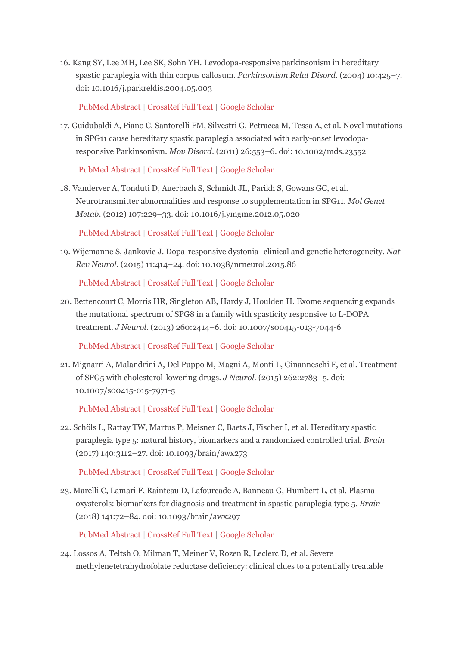16. Kang SY, Lee MH, Lee SK, Sohn YH. Levodopa-responsive parkinsonism in hereditary spastic paraplegia with thin corpus callosum. *Parkinsonism Relat Disord*. (2004) 10:425–7. doi: 10.1016/j.parkreldis.2004.05.003

[PubMed Abstract](http://www.ncbi.nlm.nih.gov/sites/entrez?Db=pubmed&Cmd=ShowDetailView&TermToSearch=15465400) | [CrossRef Full Text](https://doi.org/10.1016/j.parkreldis.2004.05.003) [| Google Scholar](http://scholar.google.com/scholar_lookup?author=SY.+Kang&author=MH.+Lee&author=SK.+Lee&author=YH.+Sohn+&publication_year=2004&title=Levodopa-responsive+parkinsonism+in+hereditary+spastic+paraplegia+with+thin+corpus+callosum&journal=Parkinsonism+Relat+Disord&volume=10&pages=425-7)

17. Guidubaldi A, Piano C, Santorelli FM, Silvestri G, Petracca M, Tessa A, et al. Novel mutations in SPG11 cause hereditary spastic paraplegia associated with early-onset levodoparesponsive Parkinsonism. *Mov Disord*. (2011) 26:553–6. doi: 10.1002/mds.23552

[PubMed Abstract](http://www.ncbi.nlm.nih.gov/sites/entrez?Db=pubmed&Cmd=ShowDetailView&TermToSearch=21381113) | [CrossRef Full Text](https://doi.org/10.1002/mds.23552) [| Google Scholar](http://scholar.google.com/scholar_lookup?author=A.+Guidubaldi&author=C.+Piano&author=FM.+Santorelli&author=G.+Silvestri&author=M.+Petracca&author=A.+Tessa+&publication_year=2011&title=Novel+mutations+in+SPG11+cause+hereditary+spastic+paraplegia+associated+with+early-onset+levodopa-responsive+Parkinsonism&journal=Mov+Disord&volume=26&pages=553-6)

18. Vanderver A, Tonduti D, Auerbach S, Schmidt JL, Parikh S, Gowans GC, et al. Neurotransmitter abnormalities and response to supplementation in SPG11. *Mol Genet Metab*. (2012) 107:229–33. doi: 10.1016/j.ymgme.2012.05.020

[PubMed Abstract](http://www.ncbi.nlm.nih.gov/sites/entrez?Db=pubmed&Cmd=ShowDetailView&TermToSearch=22749184) | [CrossRef Full Text](https://doi.org/10.1016/j.ymgme.2012.05.020) [| Google Scholar](http://scholar.google.com/scholar_lookup?author=A.+Vanderver&author=D.+Tonduti&author=S.+Auerbach&author=JL.+Schmidt&author=S.+Parikh&author=GC.+Gowans+&publication_year=2012&title=Neurotransmitter+abnormalities+and+response+to+supplementation+in+SPG11&journal=Mol+Genet+Metab&volume=107&pages=229-33)

19. Wijemanne S, Jankovic J. Dopa-responsive dystonia–clinical and genetic heterogeneity. *Nat Rev Neurol*. (2015) 11:414–24. doi: 10.1038/nrneurol.2015.86

[PubMed Abstract](http://www.ncbi.nlm.nih.gov/sites/entrez?Db=pubmed&Cmd=ShowDetailView&TermToSearch=26100751) | [CrossRef Full Text](https://doi.org/10.1038/nrneurol.2015.86) [| Google Scholar](http://scholar.google.com/scholar_lookup?author=S.+Wijemanne&author=J.+Jankovic+&publication_year=2015&title=Dopa-responsive+dystonia–clinical+and+genetic+heterogeneity&journal=Nat+Rev+Neurol&volume=11&pages=414-24)

20. Bettencourt C, Morris HR, Singleton AB, Hardy J, Houlden H. Exome sequencing expands the mutational spectrum of SPG8 in a family with spasticity responsive to L-DOPA treatment. *J Neurol*. (2013) 260:2414–6. doi: 10.1007/s00415-013-7044-6

[PubMed Abstract](http://www.ncbi.nlm.nih.gov/sites/entrez?Db=pubmed&Cmd=ShowDetailView&TermToSearch=23881105) | [CrossRef Full Text](https://doi.org/10.1007/s00415-013-7044-6) [| Google Scholar](http://scholar.google.com/scholar_lookup?author=C.+Bettencourt&author=HR.+Morris&author=AB.+Singleton&author=J.+Hardy&author=H.+Houlden+&publication_year=2013&title=Exome+sequencing+expands+the+mutational+spectrum+of+SPG8+in+a+family+with+spasticity+responsive+to+L-DOPA+treatment&journal=J+Neurol&volume=260&pages=2414-6)

21. Mignarri A, Malandrini A, Del Puppo M, Magni A, Monti L, Ginanneschi F, et al. Treatment of SPG5 with cholesterol-lowering drugs. *J Neurol*. (2015) 262:2783–5. doi: 10.1007/s00415-015-7971-5

[PubMed Abstract](http://www.ncbi.nlm.nih.gov/sites/entrez?Db=pubmed&Cmd=ShowDetailView&TermToSearch=26566916) | [CrossRef Full Text](https://doi.org/10.1007/s00415-015-7971-5) [| Google Scholar](http://scholar.google.com/scholar_lookup?author=A.+Mignarri&author=A.+Malandrini&author=Puppo%20M.+Del&author=A.+Magni&author=L.+Monti&author=F.+Ginanneschi+&publication_year=2015&title=Treatment+of+SPG5+with+cholesterol-lowering+drugs&journal=J+Neurol&volume=262&pages=2783-5)

22. Schöls L, Rattay TW, Martus P, Meisner C, Baets J, Fischer I, et al. Hereditary spastic paraplegia type 5: natural history, biomarkers and a randomized controlled trial. *Brain* (2017) 140:3112–27. doi: 10.1093/brain/awx273

[PubMed Abstract](http://www.ncbi.nlm.nih.gov/sites/entrez?Db=pubmed&Cmd=ShowDetailView&TermToSearch=29126212) | [CrossRef Full Text](https://doi.org/10.1093/brain/awx273) [| Google Scholar](http://scholar.google.com/scholar_lookup?author=L.+Schöls&author=TW.+Rattay&author=P.+Martus&author=C.+Meisner&author=J.+Baets&author=I.+Fischer+&publication_year=2017&title=Hereditary+spastic+paraplegia+type+5%3A+natural+history,+biomarkers+and+a+randomized+controlled+trial&journal=Brain&volume=140&pages=3112-27)

23. Marelli C, Lamari F, Rainteau D, Lafourcade A, Banneau G, Humbert L, et al. Plasma oxysterols: biomarkers for diagnosis and treatment in spastic paraplegia type 5. *Brain* (2018) 141:72–84. doi: 10.1093/brain/awx297

[PubMed Abstract](http://www.ncbi.nlm.nih.gov/sites/entrez?Db=pubmed&Cmd=ShowDetailView&TermToSearch=29228183) | [CrossRef Full Text](https://doi.org/10.1093/brain/awx297) [| Google Scholar](http://scholar.google.com/scholar_lookup?author=C.+Marelli&author=F.+Lamari&author=D.+Rainteau&author=A.+Lafourcade&author=G.+Banneau&author=L.+Humbert+&publication_year=2018&title=Plasma+oxysterols%3A+biomarkers+for+diagnosis+and+treatment+in+spastic+paraplegia+type+5&journal=Brain&volume=141&pages=72-84)

24. Lossos A, Teltsh O, Milman T, Meiner V, Rozen R, Leclerc D, et al. Severe methylenetetrahydrofolate reductase deficiency: clinical clues to a potentially treatable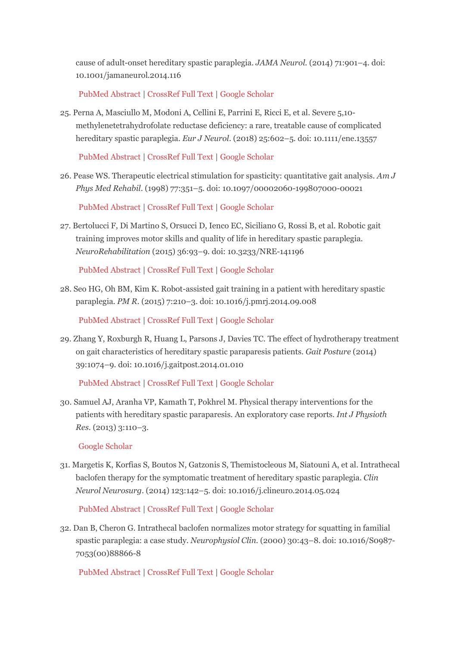cause of adult-onset hereditary spastic paraplegia. *JAMA Neurol*. (2014) 71:901–4. doi: 10.1001/jamaneurol.2014.116

[PubMed Abstract](http://www.ncbi.nlm.nih.gov/sites/entrez?Db=pubmed&Cmd=ShowDetailView&TermToSearch=24797679) | [CrossRef Full Text](https://doi.org/10.1001/jamaneurol.2014.116) [| Google Scholar](http://scholar.google.com/scholar_lookup?author=A.+Lossos&author=O.+Teltsh&author=T.+Milman&author=V.+Meiner&author=R.+Rozen&author=D.+Leclerc+&publication_year=2014&title=Severe+methylenetetrahydrofolate+reductase+deficiency%3A+clinical+clues+to+a+potentially+treatable+cause+of+adult-onset+hereditary+spastic+paraplegia&journal=JAMA+Neurol&volume=71&pages=901-4)

25. Perna A, Masciullo M, Modoni A, Cellini E, Parrini E, Ricci E, et al. Severe 5,10 methylenetetrahydrofolate reductase deficiency: a rare, treatable cause of complicated hereditary spastic paraplegia. *Eur J Neurol*. (2018) 25:602–5. doi: 10.1111/ene.13557

[PubMed Abstract](http://www.ncbi.nlm.nih.gov/sites/entrez?Db=pubmed&Cmd=ShowDetailView&TermToSearch=29284203) | [CrossRef Full Text](https://doi.org/10.1111/ene.13557) [| Google Scholar](http://scholar.google.com/scholar_lookup?author=A.+Perna&author=M.+Masciullo&author=A.+Modoni&author=E.+Cellini&author=E.+Parrini&author=E.+Ricci+&publication_year=2018&title=Severe+5,10-methylenetetrahydrofolate+reductase+deficiency%3A+a+rare,+treatable+cause+of+complicated+hereditary+spastic+paraplegia&journal=Eur+J+Neurol&volume=25&pages=602-5)

26. Pease WS. Therapeutic electrical stimulation for spasticity: quantitative gait analysis. *Am J Phys Med Rehabil*. (1998) 77:351–5. doi: 10.1097/00002060-199807000-00021

[PubMed Abstract](http://www.ncbi.nlm.nih.gov/sites/entrez?Db=pubmed&Cmd=ShowDetailView&TermToSearch=9715927) | [CrossRef Full Text](https://doi.org/10.1097/00002060-199807000-00021) [| Google Scholar](http://scholar.google.com/scholar_lookup?author=WS.+Pease+&publication_year=1998&title=Therapeutic+electrical+stimulation+for+spasticity%3A+quantitative+gait+analysis&journal=Am+J+Phys+Med+Rehabil&volume=77&pages=351-5)

27. Bertolucci F, Di Martino S, Orsucci D, Ienco EC, Siciliano G, Rossi B, et al. Robotic gait training improves motor skills and quality of life in hereditary spastic paraplegia. *NeuroRehabilitation* (2015) 36:93–9. doi: 10.3233/NRE-141196

[PubMed Abstract](http://www.ncbi.nlm.nih.gov/sites/entrez?Db=pubmed&Cmd=ShowDetailView&TermToSearch=25547770) | [CrossRef Full Text](https://doi.org/10.3233/NRE-141196) [| Google Scholar](http://scholar.google.com/scholar_lookup?author=F.+Bertolucci&author=S.+Di+Martino&author=D.+Orsucci&author=EC.+Ienco&author=G.+Siciliano&author=B.+Rossi+&publication_year=2015&title=Robotic+gait+training+improves+motor+skills+and+quality+of+life+in+hereditary+spastic+paraplegia&journal=NeuroRehabilitation&volume=36&pages=93-9)

28. Seo HG, Oh BM, Kim K. Robot-assisted gait training in a patient with hereditary spastic paraplegia. *PM R*. (2015) 7:210–3. doi: 10.1016/j.pmrj.2014.09.008

[PubMed Abstract](http://www.ncbi.nlm.nih.gov/sites/entrez?Db=pubmed&Cmd=ShowDetailView&TermToSearch=25255290) | [CrossRef Full Text](https://doi.org/10.1016/j.pmrj.2014.09.008) [| Google Scholar](http://scholar.google.com/scholar_lookup?author=HG.+Seo&author=BM.+Oh&author=K.+Kim+&publication_year=2015&title=Robot-assisted+gait+training+in+a+patient+with+hereditary+spastic+paraplegia&journal=PM+R&volume=7&pages=210-3)

29. Zhang Y, Roxburgh R, Huang L, Parsons J, Davies TC. The effect of hydrotherapy treatment on gait characteristics of hereditary spastic paraparesis patients. *Gait Posture* (2014) 39:1074–9. doi: 10.1016/j.gaitpost.2014.01.010

[PubMed Abstract](http://www.ncbi.nlm.nih.gov/sites/entrez?Db=pubmed&Cmd=ShowDetailView&TermToSearch=24556467) | [CrossRef Full Text](https://doi.org/10.1016/j.gaitpost.2014.01.010) [| Google Scholar](http://scholar.google.com/scholar_lookup?author=Y.+Zhang&author=R.+Roxburgh&author=L.+Huang&author=J.+Parsons&author=TC.+Davies+&publication_year=2014&title=The+effect+of+hydrotherapy+treatment+on+gait+characteristics+of+hereditary+spastic+paraparesis+patients&journal=Gait+Posture&volume=39&pages=1074-9)

30. Samuel AJ, Aranha VP, Kamath T, Pokhrel M. Physical therapy interventions for the patients with hereditary spastic paraparesis. An exploratory case reports. *Int J Physioth Res*. (2013) 3:110–3.

[Google Scholar](http://scholar.google.com/scholar_lookup?author=AJ.+Samuel&author=VP.+Aranha&author=T.+Kamath&author=M.+Pokhrel+&publication_year=2013&title=Physical+therapy+interventions+for+the+patients+with+hereditary+spastic+paraparesis.+An+exploratory+case+reports&journal=Int+J+Physioth+Res&volume=3&pages=110-3)

31. Margetis K, Korfias S, Boutos N, Gatzonis S, Themistocleous M, Siatouni A, et al. Intrathecal baclofen therapy for the symptomatic treatment of hereditary spastic paraplegia. *Clin Neurol Neurosurg*. (2014) 123:142–5. doi: 10.1016/j.clineuro.2014.05.024

[PubMed Abstract](http://www.ncbi.nlm.nih.gov/sites/entrez?Db=pubmed&Cmd=ShowDetailView&TermToSearch=24973568) | [CrossRef Full Text](https://doi.org/10.1016/j.clineuro.2014.05.024) [| Google Scholar](http://scholar.google.com/scholar_lookup?author=K.+Margetis&author=S.+Korfias&author=N.+Boutos&author=S.+Gatzonis&author=M.+Themistocleous&author=A.+Siatouni+&publication_year=2014&title=Intrathecal+baclofen+therapy+for+the+symptomatic+treatment+of+hereditary+spastic+paraplegia&journal=Clin+Neurol+Neurosurg&volume=123&pages=142-5)

32. Dan B, Cheron G. Intrathecal baclofen normalizes motor strategy for squatting in familial spastic paraplegia: a case study. *Neurophysiol Clin*. (2000) 30:43–8. doi: 10.1016/S0987- 7053(00)88866-8

[PubMed Abstract](http://www.ncbi.nlm.nih.gov/sites/entrez?Db=pubmed&Cmd=ShowDetailView&TermToSearch=10740795) | [CrossRef Full Text](https://doi.org/10.1016/S0987-7053(00)88866-8) [| Google Scholar](http://scholar.google.com/scholar_lookup?author=B.+Dan&author=G.+Cheron+&publication_year=2000&title=Intrathecal+baclofen+normalizes+motor+strategy+for+squatting+in+familial+spastic+paraplegia%3A+a+case+study&journal=Neurophysiol+Clin&volume=30&pages=43-8)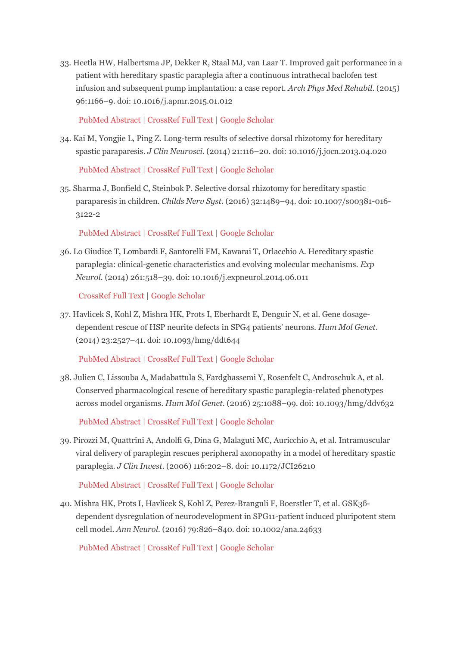33. Heetla HW, Halbertsma JP, Dekker R, Staal MJ, van Laar T. Improved gait performance in a patient with hereditary spastic paraplegia after a continuous intrathecal baclofen test infusion and subsequent pump implantation: a case report. *Arch Phys Med Rehabil*. (2015) 96:1166–9. doi: 10.1016/j.apmr.2015.01.012

[PubMed Abstract](http://www.ncbi.nlm.nih.gov/sites/entrez?Db=pubmed&Cmd=ShowDetailView&TermToSearch=25626112) | [CrossRef Full Text](https://doi.org/10.1016/j.apmr.2015.01.012) [| Google Scholar](http://scholar.google.com/scholar_lookup?author=HW.+Heetla&author=JP.+Halbertsma&author=R.+Dekker&author=MJ.+Staal&author=T.+van+Laar+&publication_year=2015&title=Improved+gait+performance+in+a+patient+with+hereditary+spastic+paraplegia+after+a+continuous+intrathecal+baclofen+test+infusion+and+subsequent+pump+implantation%3A+a+case+report&journal=Arch+Phys+Med+Rehabil&volume=96&pages=1166-9)

34. Kai M, Yongjie L, Ping Z. Long-term results of selective dorsal rhizotomy for hereditary spastic paraparesis. *J Clin Neurosci*. (2014) 21:116–20. doi: 10.1016/j.jocn.2013.04.020

[PubMed Abstract](http://www.ncbi.nlm.nih.gov/sites/entrez?Db=pubmed&Cmd=ShowDetailView&TermToSearch=24153323) | [CrossRef Full Text](https://doi.org/10.1016/j.jocn.2013.04.020) [| Google Scholar](http://scholar.google.com/scholar_lookup?author=M.+Kai&author=L.+Yongjie&author=Z.+Ping+&publication_year=2014&title=Long-term+results+of+selective+dorsal+rhizotomy+for+hereditary+spastic+paraparesis&journal=J+Clin+Neurosci&volume=21&pages=116-20)

35. Sharma J, Bonfield C, Steinbok P. Selective dorsal rhizotomy for hereditary spastic paraparesis in children. *Childs Nerv Syst*. (2016) 32:1489–94. doi: 10.1007/s00381-016- 3122-2

[PubMed Abstract](http://www.ncbi.nlm.nih.gov/sites/entrez?Db=pubmed&Cmd=ShowDetailView&TermToSearch=27312078) | [CrossRef Full Text](https://doi.org/10.1007/s00381-016-3122-2) [| Google Scholar](http://scholar.google.com/scholar_lookup?author=J.+Sharma&author=C.+Bonfield&author=P.+Steinbok+&publication_year=2016&title=Selective+dorsal+rhizotomy+for+hereditary+spastic+paraparesis+in+children&journal=Childs+Nerv+Syst&volume=32&pages=1489-94)

36. Lo Giudice T, Lombardi F, Santorelli FM, Kawarai T, Orlacchio A. Hereditary spastic paraplegia: clinical-genetic characteristics and evolving molecular mechanisms. *Exp Neurol.* (2014) 261:518–39. doi: 10.1016/j.expneurol.2014.06.011

[CrossRef Full Text](https://doi.org/10.1016/j.expneurol.2014.06.011) | [Google Scholar](http://scholar.google.com/scholar_lookup?author=Giudice%20T.+Lo&author=F.+Lombardi&author=FM.+Santorelli&author=T.+Kawarai&author=A.+Orlacchio+&publication_year=2014&title=Hereditary+spastic+paraplegia%3A+clinical-genetic+characteristics+and+evolving+molecular+mechanisms&journal=Exp+Neurol.&volume=261&pages=518-39)

37. Havlicek S, Kohl Z, Mishra HK, Prots I, Eberhardt E, Denguir N, et al. Gene dosagedependent rescue of HSP neurite defects in SPG4 patients' neurons. *Hum Mol Genet*. (2014) 23:2527–41. doi: 10.1093/hmg/ddt644

[PubMed Abstract](http://www.ncbi.nlm.nih.gov/sites/entrez?Db=pubmed&Cmd=ShowDetailView&TermToSearch=24381312) | [CrossRef Full Text](https://doi.org/10.1093/hmg/ddt644) [| Google Scholar](http://scholar.google.com/scholar_lookup?author=S.+Havlicek&author=Z.+Kohl&author=HK.+Mishra&author=I.+Prots&author=E.+Eberhardt&author=N.+Denguir+&publication_year=2014&title=Gene+dosage-dependent+rescue+of+HSP+neurite+defects+in+SPG4+patients)

38. Julien C, Lissouba A, Madabattula S, Fardghassemi Y, Rosenfelt C, Androschuk A, et al. Conserved pharmacological rescue of hereditary spastic paraplegia-related phenotypes across model organisms. *Hum Mol Genet*. (2016) 25:1088–99. doi: 10.1093/hmg/ddv632

[PubMed Abstract](http://www.ncbi.nlm.nih.gov/sites/entrez?Db=pubmed&Cmd=ShowDetailView&TermToSearch=26744324) | [CrossRef Full Text](https://doi.org/10.1093/hmg/ddv632) [| Google Scholar](http://scholar.google.com/scholar_lookup?author=C.+Julien&author=A.+Lissouba&author=S.+Madabattula&author=Y.+Fardghassemi&author=C.+Rosenfelt&author=A.+Androschuk+&publication_year=2016&title=Conserved+pharmacological+rescue+of+hereditary+spastic+paraplegia-related+phenotypes+across+model+organisms&journal=Hum+Mol+Genet&volume=25&pages=1088-99)

39. Pirozzi M, Quattrini A, Andolfi G, Dina G, Malaguti MC, Auricchio A, et al. Intramuscular viral delivery of paraplegin rescues peripheral axonopathy in a model of hereditary spastic paraplegia. *J Clin Invest*. (2006) 116:202–8. doi: 10.1172/JCI26210

[PubMed Abstract](http://www.ncbi.nlm.nih.gov/sites/entrez?Db=pubmed&Cmd=ShowDetailView&TermToSearch=16357941) | [CrossRef Full Text](https://doi.org/10.1172/JCI26210) [| Google Scholar](http://scholar.google.com/scholar_lookup?author=M.+Pirozzi&author=A.+Quattrini&author=G.+Andolfi&author=G.+Dina&author=MC.+Malaguti&author=A.+Auricchio+&publication_year=2006&title=Intramuscular+viral+delivery+of+paraplegin+rescues+peripheral+axonopathy+in+a+model+of+hereditary+spastic+paraplegia&journal=J+Clin+Invest&volume=116&pages=202-8)

40. Mishra HK, Prots I, Havlicek S, Kohl Z, Perez-Branguli F, Boerstler T, et al. GSK3ßdependent dysregulation of neurodevelopment in SPG11-patient induced pluripotent stem cell model. *Ann Neurol*. (2016) 79:826–840. doi: 10.1002/ana.24633

[PubMed Abstract](http://www.ncbi.nlm.nih.gov/sites/entrez?Db=pubmed&Cmd=ShowDetailView&TermToSearch=26971897) | [CrossRef Full Text](https://doi.org/10.1002/ana.24633) [| Google Scholar](http://scholar.google.com/scholar_lookup?author=HK.+Mishra&author=I.+Prots&author=S.+Havlicek&author=Z.+Kohl&author=F.+Perez-Branguli&author=T.+Boerstler+&publication_year=2016&title=GSK3ß-dependent+dysregulation+of+neurodevelopment+in+SPG11-patient+induced+pluripotent+stem+cell+model&journal=Ann+Neurol&volume=79&pages=826-840)